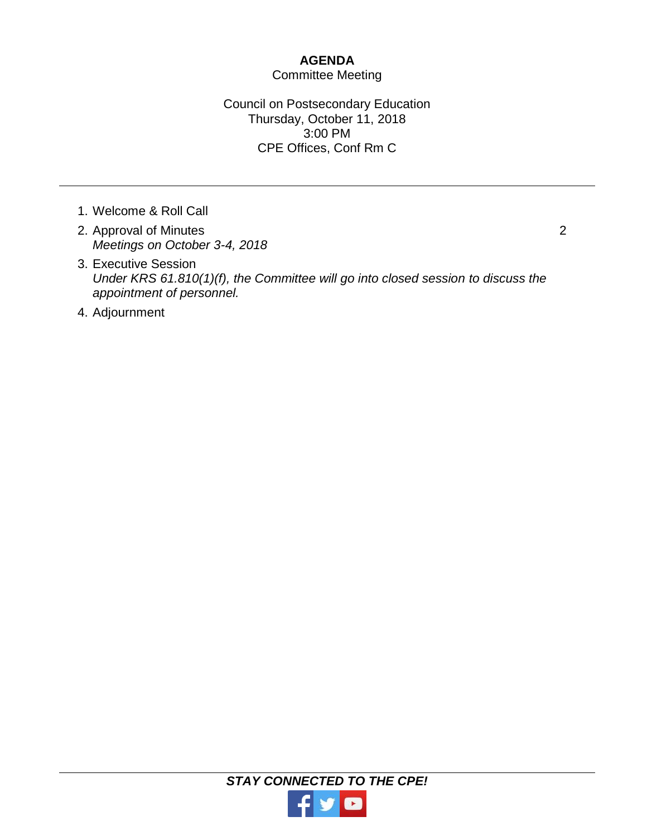## **AGENDA**

## Committee Meeting

Council on Postsecondary Education Thursday, October 11, 2018 3:00 PM CPE Offices, Conf Rm C

- 1. Welcome & Roll Call
- 2. Approval of Minutes *Meetings on October 3-4, 2018*
- 3. Executive Session *Under KRS 61.810(1)(f), the Committee will go into closed session to discuss the appointment of personnel.*
- 4. Adjournment

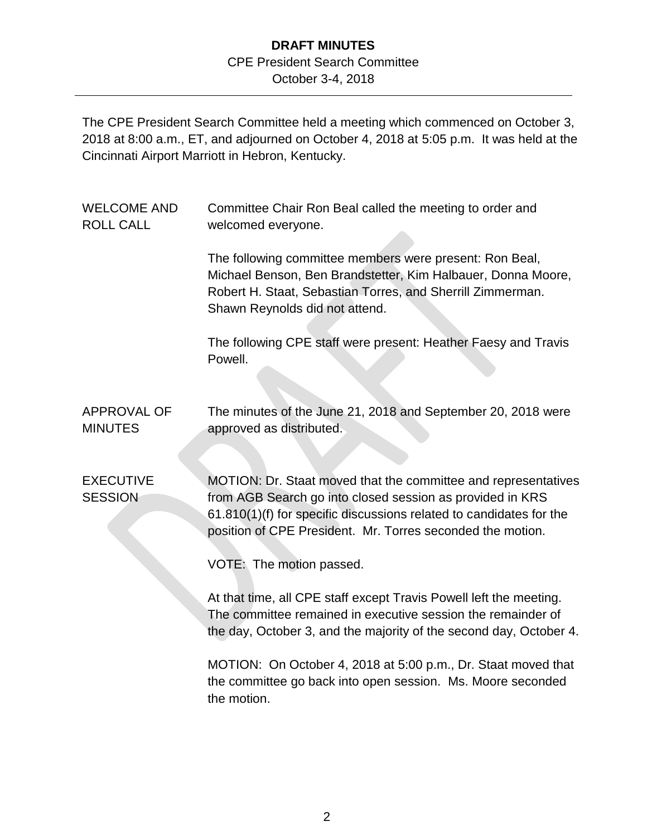## **DRAFT MINUTES** CPE President Search Committee October 3-4, 2018

The CPE President Search Committee held a meeting which commenced on October 3, 2018 at 8:00 a.m., ET, and adjourned on October 4, 2018 at 5:05 p.m. It was held at the Cincinnati Airport Marriott in Hebron, Kentucky.

| <b>WELCOME AND</b><br><b>ROLL CALL</b> | Committee Chair Ron Beal called the meeting to order and<br>welcomed everyone.                                                                                                                                                                                   |
|----------------------------------------|------------------------------------------------------------------------------------------------------------------------------------------------------------------------------------------------------------------------------------------------------------------|
|                                        | The following committee members were present: Ron Beal,<br>Michael Benson, Ben Brandstetter, Kim Halbauer, Donna Moore,<br>Robert H. Staat, Sebastian Torres, and Sherrill Zimmerman.<br>Shawn Reynolds did not attend.                                          |
|                                        | The following CPE staff were present: Heather Faesy and Travis<br>Powell.                                                                                                                                                                                        |
| <b>APPROVAL OF</b><br><b>MINUTES</b>   | The minutes of the June 21, 2018 and September 20, 2018 were<br>approved as distributed.                                                                                                                                                                         |
| <b>EXECUTIVE</b><br><b>SESSION</b>     | MOTION: Dr. Staat moved that the committee and representatives<br>from AGB Search go into closed session as provided in KRS<br>61.810(1)(f) for specific discussions related to candidates for the<br>position of CPE President. Mr. Torres seconded the motion. |
|                                        | VOTE: The motion passed.                                                                                                                                                                                                                                         |
|                                        | At that time, all CPE staff except Travis Powell left the meeting.<br>The committee remained in executive session the remainder of<br>the day, October 3, and the majority of the second day, October 4.                                                         |
|                                        | MOTION: On October 4, 2018 at 5:00 p.m., Dr. Staat moved that<br>the committee go back into open session. Ms. Moore seconded<br>the motion.                                                                                                                      |